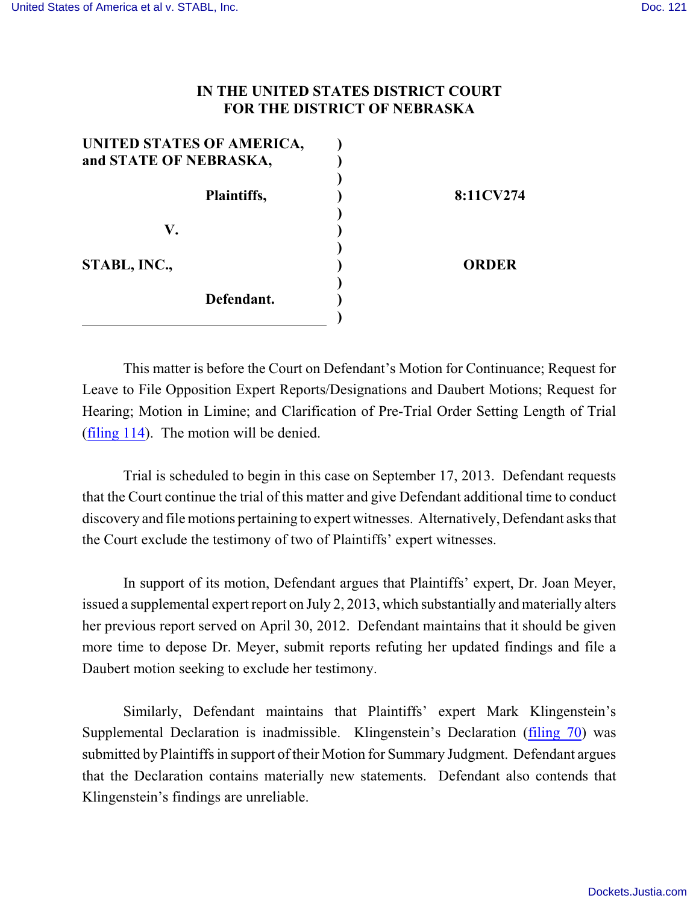## **IN THE UNITED STATES DISTRICT COURT FOR THE DISTRICT OF NEBRASKA**

| UNITED STATES OF AMERICA, |              |
|---------------------------|--------------|
| and STATE OF NEBRASKA,    |              |
|                           |              |
| Plaintiffs,               | 8:11CV274    |
|                           |              |
| V.                        |              |
| STABL, INC.,              | <b>ORDER</b> |
| Defendant.                |              |
|                           |              |

This matter is before the Court on Defendant's Motion for Continuance; Request for Leave to File Opposition Expert Reports/Designations and Daubert Motions; Request for Hearing; Motion in Limine; and Clarification of Pre-Trial Order Setting Length of Trial [\(filing 114](https://ecf.ned.uscourts.gov/doc1/11312859803)). The motion will be denied.

Trial is scheduled to begin in this case on September 17, 2013. Defendant requests that the Court continue the trial of this matter and give Defendant additional time to conduct discovery and file motions pertaining to expert witnesses. Alternatively, Defendant asks that the Court exclude the testimony of two of Plaintiffs' expert witnesses.

In support of its motion, Defendant argues that Plaintiffs' expert, Dr. Joan Meyer, issued a supplemental expert report on July 2, 2013, which substantially and materially alters her previous report served on April 30, 2012. Defendant maintains that it should be given more time to depose Dr. Meyer, submit reports refuting her updated findings and file a Daubert motion seeking to exclude her testimony.

Similarly, Defendant maintains that Plaintiffs' expert Mark Klingenstein's Supplemental Declaration is inadmissible. Klingenstein's Declaration [\(filing 70](https://ecf.ned.uscourts.gov/doc1/11302742406)) was submitted by Plaintiffs in support of their Motion for Summary Judgment. Defendant argues that the Declaration contains materially new statements. Defendant also contends that Klingenstein's findings are unreliable.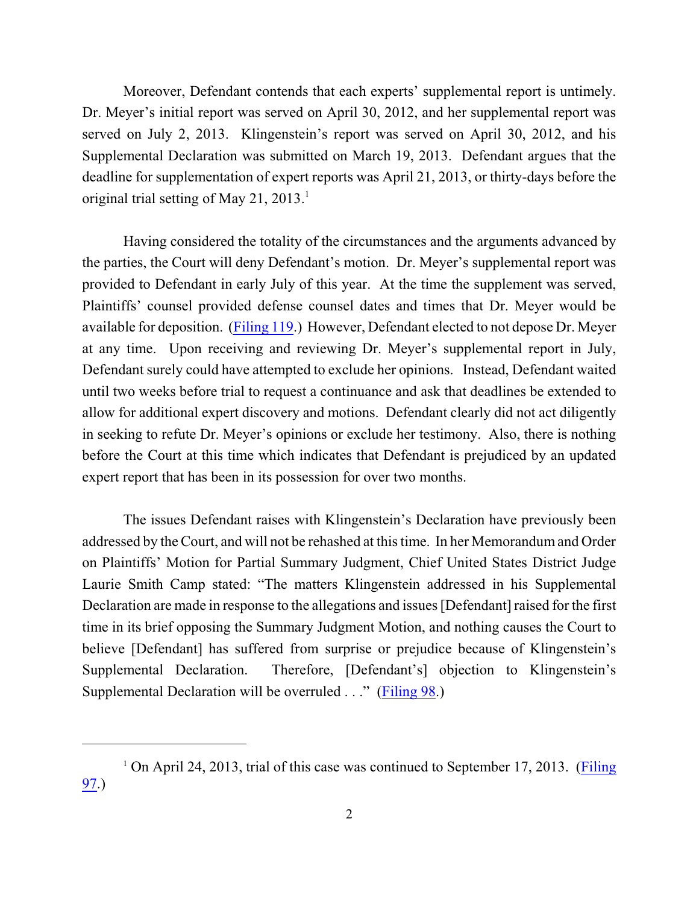Moreover, Defendant contends that each experts' supplemental report is untimely. Dr. Meyer's initial report was served on April 30, 2012, and her supplemental report was served on July 2, 2013. Klingenstein's report was served on April 30, 2012, and his Supplemental Declaration was submitted on March 19, 2013. Defendant argues that the deadline for supplementation of expert reports was April 21, 2013, or thirty-days before the original trial setting of May 21,  $2013.<sup>1</sup>$ 

Having considered the totality of the circumstances and the arguments advanced by the parties, the Court will deny Defendant's motion. Dr. Meyer's supplemental report was provided to Defendant in early July of this year. At the time the supplement was served, Plaintiffs' counsel provided defense counsel dates and times that Dr. Meyer would be available for deposition. [\(Filing 119](https://ecf.ned.uscourts.gov/doc1/11302861662).) However, Defendant elected to not depose Dr. Meyer at any time. Upon receiving and reviewing Dr. Meyer's supplemental report in July, Defendant surely could have attempted to exclude her opinions. Instead, Defendant waited until two weeks before trial to request a continuance and ask that deadlines be extended to allow for additional expert discovery and motions. Defendant clearly did not act diligently in seeking to refute Dr. Meyer's opinions or exclude her testimony. Also, there is nothing before the Court at this time which indicates that Defendant is prejudiced by an updated expert report that has been in its possession for over two months.

The issues Defendant raises with Klingenstein's Declaration have previously been addressed by the Court, and will not be rehashed at this time. In her Memorandum and Order on Plaintiffs' Motion for Partial Summary Judgment, Chief United States District Judge Laurie Smith Camp stated: "The matters Klingenstein addressed in his Supplemental Declaration are made in response to the allegations and issues [Defendant] raised for the first time in its brief opposing the Summary Judgment Motion, and nothing causes the Court to believe [Defendant] has suffered from surprise or prejudice because of Klingenstein's Supplemental Declaration. Therefore, [Defendant's] objection to Klingenstein's Supplemental Declaration will be overruled . . ." [\(Filing 98](https://ecf.ned.uscourts.gov/doc1/11312786666).)

<sup>&</sup>lt;sup>1</sup> On April 24, 2013, trial of this case was continued to September 17, 2013. [\(Filing](https://ecf.ned.uscourts.gov/doc1/11312768263) [97](https://ecf.ned.uscourts.gov/doc1/11312768263).)